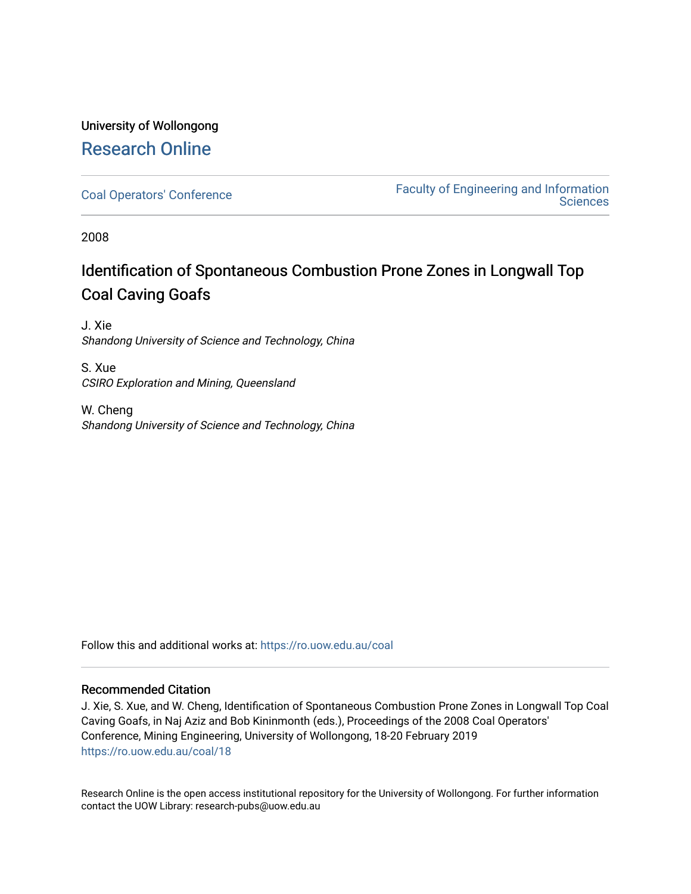# University of Wollongong [Research Online](https://ro.uow.edu.au/)

[Coal Operators' Conference](https://ro.uow.edu.au/coal) [Faculty of Engineering and Information](https://ro.uow.edu.au/eis)  **Sciences** 

2008

# Identification of Spontaneous Combustion Prone Zones in Longwall Top Coal Caving Goafs

J. Xie Shandong University of Science and Technology, China

S. Xue CSIRO Exploration and Mining, Queensland

W. Cheng Shandong University of Science and Technology, China

Follow this and additional works at: [https://ro.uow.edu.au/coal](https://ro.uow.edu.au/coal?utm_source=ro.uow.edu.au%2Fcoal%2F18&utm_medium=PDF&utm_campaign=PDFCoverPages) 

## Recommended Citation

J. Xie, S. Xue, and W. Cheng, Identification of Spontaneous Combustion Prone Zones in Longwall Top Coal Caving Goafs, in Naj Aziz and Bob Kininmonth (eds.), Proceedings of the 2008 Coal Operators' Conference, Mining Engineering, University of Wollongong, 18-20 February 2019 [https://ro.uow.edu.au/coal/18](https://ro.uow.edu.au/coal/18?utm_source=ro.uow.edu.au%2Fcoal%2F18&utm_medium=PDF&utm_campaign=PDFCoverPages) 

Research Online is the open access institutional repository for the University of Wollongong. For further information contact the UOW Library: research-pubs@uow.edu.au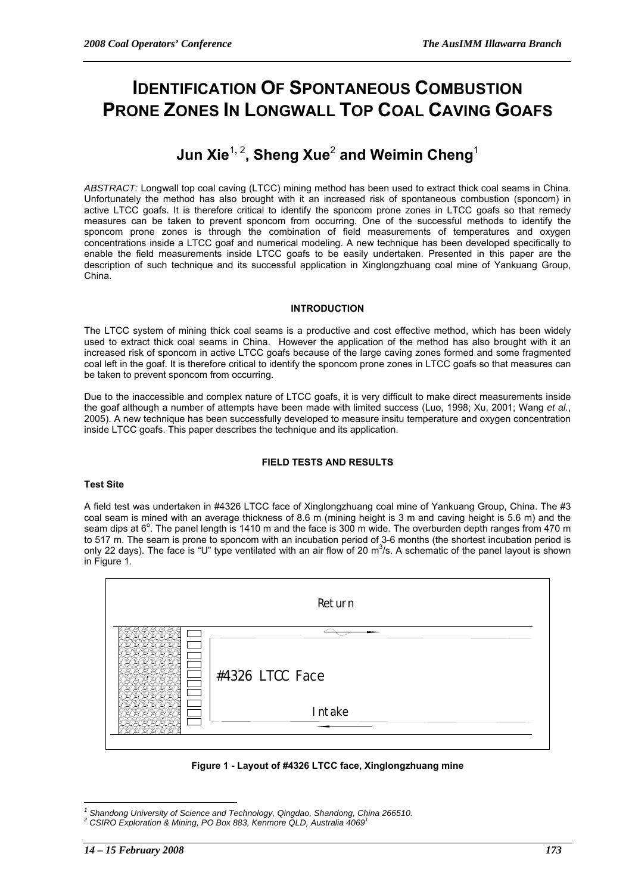# **IDENTIFICATION OF SPONTANEOUS COMBUSTION PRONE ZONES IN LONGWALL TOP COAL CAVING GOAFS**

# **Jun Xie**<sup>1</sup>**,** <sup>2</sup> **, Sheng Xue**<sup>2</sup>  **and Weimin Cheng**<sup>1</sup>

*ABSTRACT:* Longwall top coal caving (LTCC) mining method has been used to extract thick coal seams in China. Unfortunately the method has also brought with it an increased risk of spontaneous combustion (sponcom) in active LTCC goafs. It is therefore critical to identify the sponcom prone zones in LTCC goafs so that remedy measures can be taken to prevent sponcom from occurring. One of the successful methods to identify the sponcom prone zones is through the combination of field measurements of temperatures and oxygen concentrations inside a LTCC goaf and numerical modeling. A new technique has been developed specifically to enable the field measurements inside LTCC goafs to be easily undertaken. Presented in this paper are the description of such technique and its successful application in Xinglongzhuang coal mine of Yankuang Group, China.

### **INTRODUCTION**

The LTCC system of mining thick coal seams is a productive and cost effective method, which has been widely used to extract thick coal seams in China. However the application of the method has also brought with it an increased risk of sponcom in active LTCC goafs because of the large caving zones formed and some fragmented coal left in the goaf. It is therefore critical to identify the sponcom prone zones in LTCC goafs so that measures can be taken to prevent sponcom from occurring.

Due to the inaccessible and complex nature of LTCC goafs, it is very difficult to make direct measurements inside the goaf although a number of attempts have been made with limited success (Luo, 1998; Xu, 2001; Wang *et al.*, 2005). A new technique has been successfully developed to measure insitu temperature and oxygen concentration inside LTCC goafs. This paper describes the technique and its application.

## **FIELD TESTS AND RESULTS**

## **Test Site**

A field test was undertaken in #4326 LTCC face of Xinglongzhuang coal mine of Yankuang Group, China. The #3 coal seam is mined with an average thickness of 8.6 m (mining height is 3 m and caving height is 5.6 m) and the seam dips at 6°. The panel length is 1410 m and the face is 300 m wide. The overburden depth ranges from 470 m to 517 m. The seam is prone to sponcom with an incubation period of 3-6 months (the shortest incubation period is only 22 days). The face is "U" type ventilated with an air flow of 20  $m^3$ /s. A schematic of the panel layout is shown in Figure 1.



**Figure 1 - Layout of #4326 LTCC face, Xinglongzhuang mine** 

 $\overline{a}$ <sup>1</sup> Shandong University of Science and Technology, Qingdao, Shandong, China 266510.<br><sup>2</sup> CSIDO Evalentian 8 Mining, PO Boy 883, Kompose OLD, Australia 4060<sup>1</sup>

*CSIRO Exploration & Mining, PO Box 883, Kenmore QLD, Australia 4069<sup>1</sup>*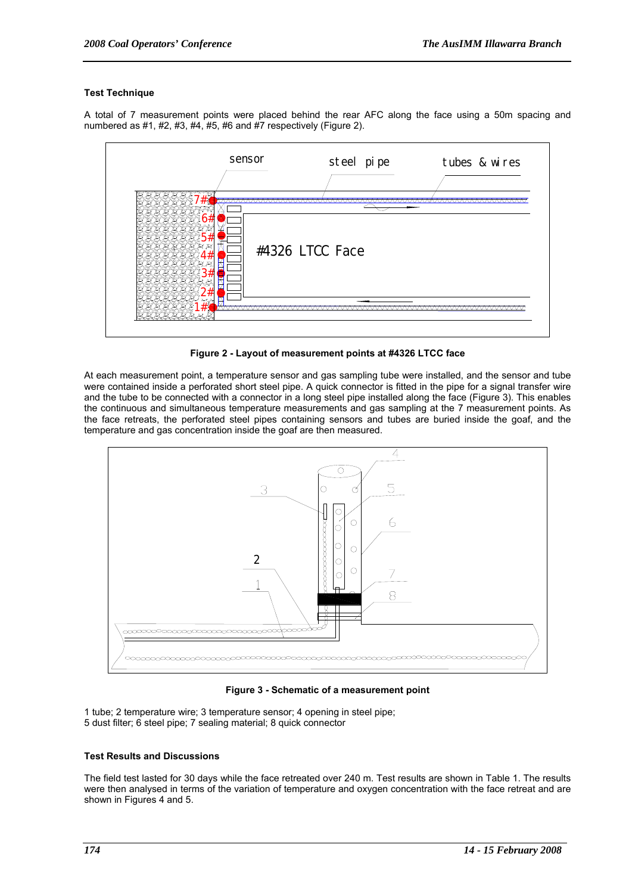#### **Test Technique**

A total of 7 measurement points were placed behind the rear AFC along the face using a 50m spacing and numbered as  $\#1$ ,  $\#2$ ,  $\#3$ ,  $\#4$ ,  $\#5$ ,  $\#6$  and  $\#7$  respectively (Figure 2).



**Figure 2 - Layout of measurement points at #4326 LTCC face** 

At each measurement point, a temperature sensor and gas sampling tube were installed, and the sensor and tube were contained inside a perforated short steel pipe. A quick connector is fitted in the pipe for a signal transfer wire and the tube to be connected with a connector in a long steel pipe installed along the face (Figure 3). This enables the continuous and simultaneous temperature measurements and gas sampling at the 7 measurement points. As the face retreats, the perforated steel pipes containing sensors and tubes are buried inside the goaf, and the temperature and gas concentration inside the goaf are then measured.



**Figure 3 - Schematic of a measurement point** 

1 tube; 2 temperature wire; 3 temperature sensor; 4 opening in steel pipe; 5 dust filter; 6 steel pipe; 7 sealing material; 8 quick connector

#### **Test Results and Discussions**

The field test lasted for 30 days while the face retreated over 240 m. Test results are shown in Table 1. The results were then analysed in terms of the variation of temperature and oxygen concentration with the face retreat and are shown in Figures 4 and 5.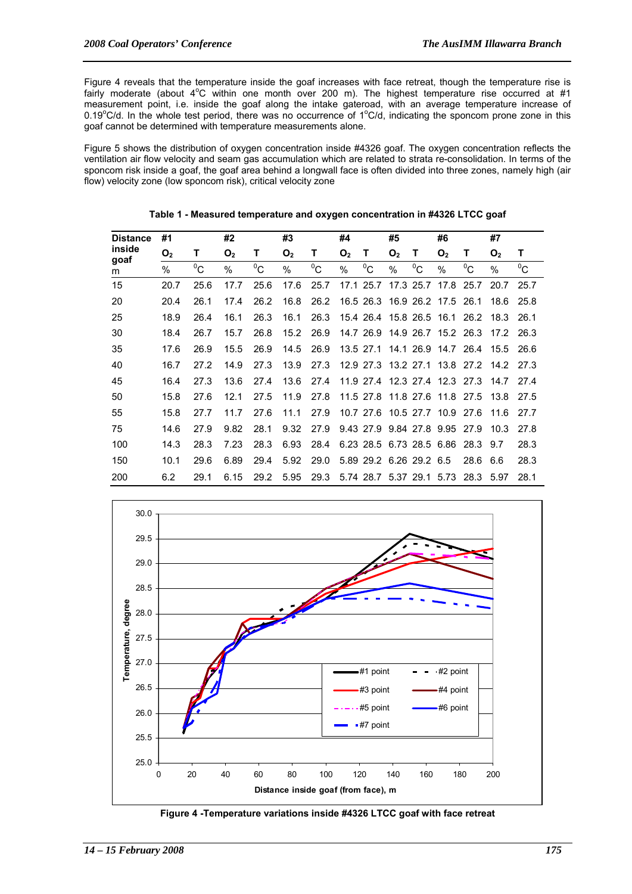Figure 4 reveals that the temperature inside the goaf increases with face retreat, though the temperature rise is fairly moderate (about  $4^{\circ}$ C within one month over 200 m). The highest temperature rise occurred at #1 measurement point, i.e. inside the goaf along the intake gateroad, with an average temperature increase of  $0.19^{\circ}$ C/d. In the whole test period, there was no occurrence of 1 $^{\circ}$ C/d, indicating the sponcom prone zone in this goaf cannot be determined with temperature measurements alone.

Figure 5 shows the distribution of oxygen concentration inside #4326 goaf. The oxygen concentration reflects the ventilation air flow velocity and seam gas accumulation which are related to strata re-consolidation. In terms of the sponcom risk inside a goaf, the goaf area behind a longwall face is often divided into three zones, namely high (air flow) velocity zone (low sponcom risk), critical velocity zone

| <b>Distance</b><br>inside<br>goaf<br>m | #1             |       | #2             |       | #3             |       | #4             |                          | #5             |           | #6                            |                               | #7             |       |
|----------------------------------------|----------------|-------|----------------|-------|----------------|-------|----------------|--------------------------|----------------|-----------|-------------------------------|-------------------------------|----------------|-------|
|                                        | O <sub>2</sub> | т     | O <sub>2</sub> | т     | O <sub>2</sub> | т     | O <sub>2</sub> | т                        | O <sub>2</sub> | т         | O <sub>2</sub>                | т                             | O <sub>2</sub> | т     |
|                                        | $\%$           | $^0C$ | $\%$           | $^0C$ | $\%$           | $^0C$ | %              | $^0C$                    | $\%$           | $^0C$     | $\%$                          | $^0C$                         | $\%$           | $^0C$ |
| 15                                     | 20.7           | 25.6  | 17.7           | 25.6  | 17.6           | 25.7  |                | 17.1 25.7                |                | 17.3 25.7 | 17.8                          | 25.7                          | 20.7           | 25.7  |
| 20                                     | 20.4           | 26.1  | 17.4           | 26.2  | 16.8           | 26.2  |                |                          |                |           | 16.5 26.3 16.9 26.2 17.5      | 26.1                          | 18.6           | 25.8  |
| 25                                     | 18.9           | 26.4  | 16.1           | 26.3  | 16.1           | 26.3  |                |                          |                |           | 15.4 26.4 15.8 26.5 16.1      | 26.2                          | 18.3           | 26.1  |
| 30                                     | 18.4           | 26.7  | 15.7           | 26.8  | 15.2           | 26.9  |                |                          |                |           | 14.7 26.9 14.9 26.7 15.2 26.3 |                               | 17.2           | 26.3  |
| 35                                     | 17.6           | 26.9  | 15.5           | 26.9  | 14.5           | 26.9  |                | 13.5 27.1 14.1 26.9      |                |           |                               | 14.7 26.4                     | 15.5           | 26.6  |
| 40                                     | 16.7           | 27.2  | 14.9           | 27.3  | 13.9           | 27.3  |                |                          |                |           |                               | 12.9 27.3 13.2 27.1 13.8 27.2 | 14.2           | 27.3  |
| 45                                     | 16.4           | 27.3  | 13.6           | 27.4  | 13.6           | 27.4  |                |                          |                |           | 11.9 27.4 12.3 27.4 12.3 27.3 |                               | 14.7           | 27.4  |
| 50                                     | 15.8           | 27.6  | 12.1           | 27.5  | 11.9           | 27.8  |                | 11.5 27.8                |                |           | 11.8 27.6 11.8                | 27.5                          | 13.8           | 27.5  |
| 55                                     | 15.8           | 27.7  | 11.7           | 27.6  | 11.1           | 27.9  |                |                          |                |           | 10.7 27.6 10.5 27.7 10.9      | 27.6                          | 11.6           | 27.7  |
| 75                                     | 14.6           | 27.9  | 9.82           | 28.1  | 9.32           | 27.9  |                |                          |                |           | 9.43 27.9 9.84 27.8 9.95 27.9 |                               | 10.3           | 27.8  |
| 100                                    | 14.3           | 28.3  | 7.23           | 28.3  | 6.93           | 28.4  |                | 6.23 28.5 6.73 28.5 6.86 |                |           |                               | 28.3                          | 9.7            | 28.3  |
| 150                                    | 10.1           | 29.6  | 6.89           | 29.4  | 5.92           | 29.0  |                | 5.89 29.2 6.26 29.2 6.5  |                |           |                               | 28.6                          | 6.6            | 28.3  |
| 200                                    | 6.2            | 29.1  | 6.15           | 29.2  | 5.95           | 29.3  |                |                          |                |           | 5.74 28.7 5.37 29.1 5.73      | 28.3 5.97                     |                | 28.1  |

**Table 1 - Measured temperature and oxygen concentration in #4326 LTCC goaf** 



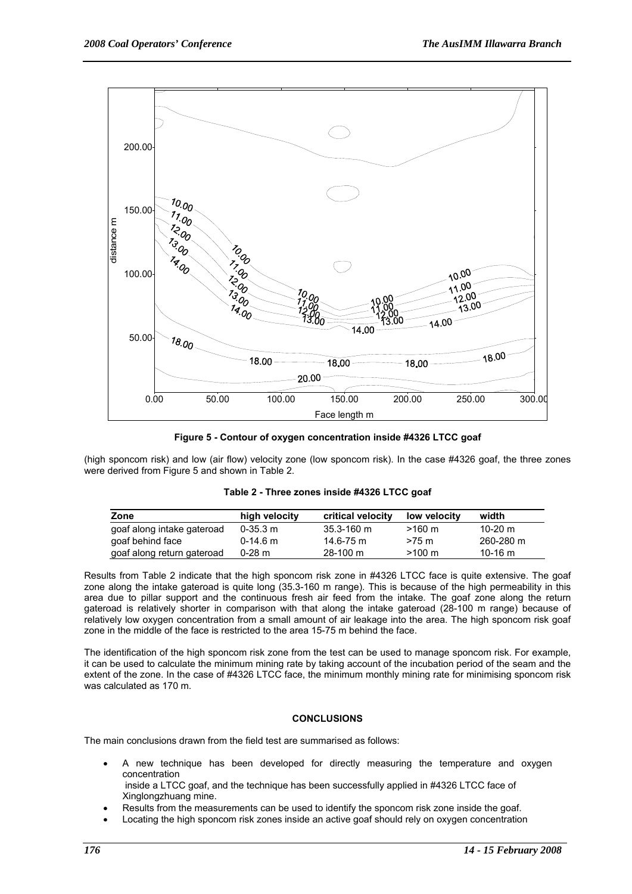

**Figure 5 - Contour of oxygen concentration inside #4326 LTCC goaf** 

(high sponcom risk) and low (air flow) velocity zone (low sponcom risk). In the case #4326 goaf, the three zones were derived from Figure 5 and shown in Table 2.

| Table 2 - Three zones inside #4326 LTCC goaf |  |  |
|----------------------------------------------|--|--|
|----------------------------------------------|--|--|

| Zone                       | high velocity | critical velocity | low velocity     | width     |
|----------------------------|---------------|-------------------|------------------|-----------|
| goaf along intake gateroad | $0 - 35.3$ m  | $35.3 - 160$ m    | $>160 \text{ m}$ | 10-20 $m$ |
| goaf behind face           | $0-14.6$ m    | $14.6 - 75$ m     | $>75$ m          | 260-280 m |
| goaf along return gateroad | $0-28$ m      | $28-100$ m        | $>100 \;{\rm m}$ | 10-16 $m$ |

Results from Table 2 indicate that the high sponcom risk zone in #4326 LTCC face is quite extensive. The goaf zone along the intake gateroad is quite long (35.3-160 m range). This is because of the high permeability in this area due to pillar support and the continuous fresh air feed from the intake. The goaf zone along the return gateroad is relatively shorter in comparison with that along the intake gateroad (28-100 m range) because of relatively low oxygen concentration from a small amount of air leakage into the area. The high sponcom risk goaf zone in the middle of the face is restricted to the area 15-75 m behind the face.

The identification of the high sponcom risk zone from the test can be used to manage sponcom risk. For example, it can be used to calculate the minimum mining rate by taking account of the incubation period of the seam and the extent of the zone. In the case of #4326 LTCC face, the minimum monthly mining rate for minimising sponcom risk was calculated as 170 m.

#### **CONCLUSIONS**

The main conclusions drawn from the field test are summarised as follows:

• A new technique has been developed for directly measuring the temperature and oxygen concentration

 inside a LTCC goaf, and the technique has been successfully applied in #4326 LTCC face of Xinglongzhuang mine.

- Results from the measurements can be used to identify the sponcom risk zone inside the goaf.
- Locating the high sponcom risk zones inside an active goaf should rely on oxygen concentration